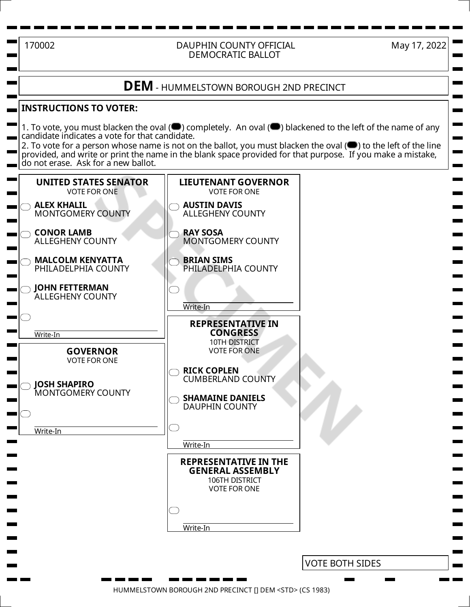## 170002 DAUPHIN COUNTY OFFICIAL DEMOCRATIC BALLOT

## **DEM** - HUMMELSTOWN BOROUGH 2ND PRECINCT **INSTRUCTIONS TO VOTER:** 1. To vote, you must blacken the oval ( $\blacksquare$ ) completely. An oval ( $\blacksquare$ ) blackened to the left of the name of any candidate indicates a vote for that candidate. 2. To vote for a person whose name is not on the ballot, you must blacken the oval  $($ **)** to the left of the line provided, and write or print the name in the blank space provided for that purpose. If you make a mistake, do not erase. Ask for a new ballot. **UNITED STATES SENATOR** VOTE FOR ONE **ALEX KHALIL** MONTGOMERY COUNTY **CONOR LAMB** ALLEGHENY COUNTY **MALCOLM KENYATTA** PHILADELPHIA COUNTY **JOHN FETTERMAN** ALLEGHENY COUNTY Write-In **GOVERNOR** VOTE FOR ONE **JOSH SHAPIRO** MONTGOMERY COUNTY Write-In **LIEUTENANT GOVERNOR** VOTE FOR ONE **AUSTIN DAVIS** ALLEGHENY COUNTY **RAY SOSA** MONTGOMERY COUNTY **BRIAN SIMS** PHILADELPHIA COUNTY Write-In **REPRESENTATIVE IN CONGRESS** 10TH DISTRICT VOTE FOR ONE **RICK COPLEN** CUMBERLAND COUNTY **SHAMAINE DANIELS** DAUPHIN COUNTY Write-In **REPRESENTATIVE IN THE GENERAL ASSEMBLY** 106TH DISTRICT VOTE FOR ONE Write-In